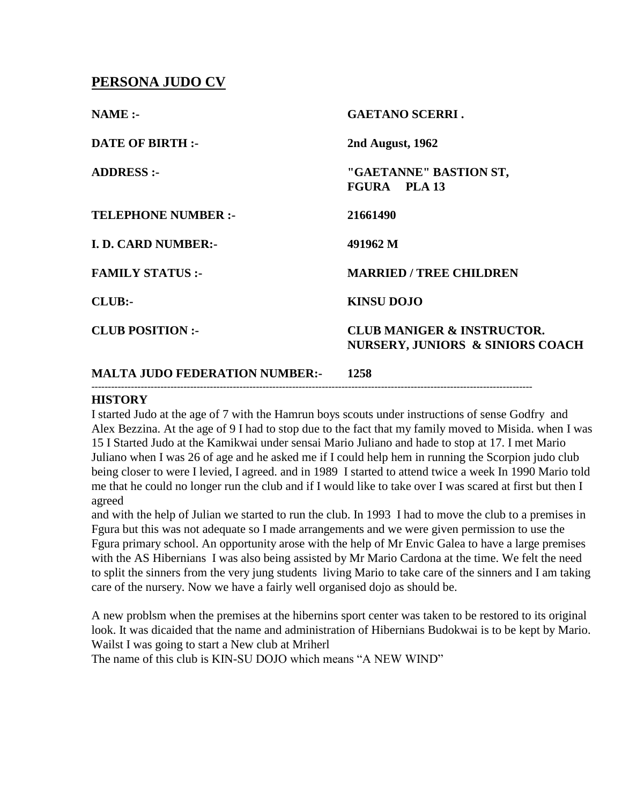## **PERSONA JUDO CV**

| $NAME: -$                             | <b>GAETANO SCERRI.</b>                                                               |
|---------------------------------------|--------------------------------------------------------------------------------------|
| <b>DATE OF BIRTH :-</b>               | 2nd August, 1962                                                                     |
| <b>ADDRESS:-</b>                      | "GAETANNE" BASTION ST,<br>FGURA PLA 13                                               |
| <b>TELEPHONE NUMBER :-</b>            | 21661490                                                                             |
| <b>I. D. CARD NUMBER:-</b>            | 491962 M                                                                             |
| <b>FAMILY STATUS:-</b>                | <b>MARRIED / TREE CHILDREN</b>                                                       |
| CLUB:                                 | <b>KINSU DOJO</b>                                                                    |
| <b>CLUB POSITION:-</b>                | <b>CLUB MANIGER &amp; INSTRUCTOR.</b><br><b>NURSERY, JUNIORS &amp; SINIORS COACH</b> |
| <b>MALTA JUDO FEDERATION NUMBER:-</b> | 1258                                                                                 |

## **HISTORY**

I started Judo at the age of 7 with the Hamrun boys scouts under instructions of sense Godfry and Alex Bezzina. At the age of 9 I had to stop due to the fact that my family moved to Misida. when I was 15 I Started Judo at the Kamikwai under sensai Mario Juliano and hade to stop at 17. I met Mario Juliano when I was 26 of age and he asked me if I could help hem in running the Scorpion judo club being closer to were I levied, I agreed. and in 1989 I started to attend twice a week In 1990 Mario told me that he could no longer run the club and if I would like to take over I was scared at first but then I agreed

--------------------------------------------------------------------------------------------------------------------------------------

and with the help of Julian we started to run the club. In 1993 I had to move the club to a premises in Fgura but this was not adequate so I made arrangements and we were given permission to use the Fgura primary school. An opportunity arose with the help of Mr Envic Galea to have a large premises with the AS Hibernians I was also being assisted by Mr Mario Cardona at the time. We felt the need to split the sinners from the very jung students living Mario to take care of the sinners and I am taking care of the nursery. Now we have a fairly well organised dojo as should be.

A new problsm when the premises at the hibernins sport center was taken to be restored to its original look. It was dicaided that the name and administration of Hibernians Budokwai is to be kept by Mario. Wailst I was going to start a New club at Mriherl

The name of this club is KIN-SU DOJO which means "A NEW WIND"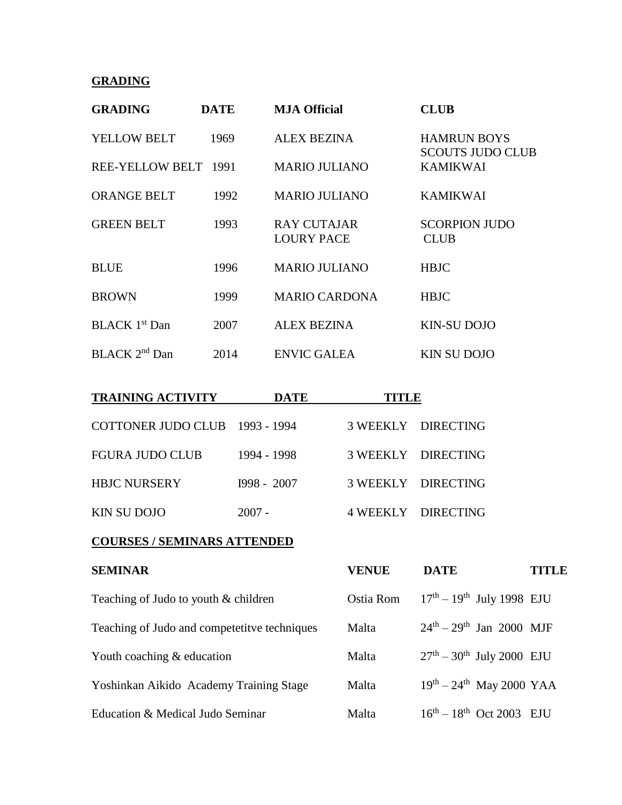## **GRADING**

| <b>GRADING</b>            | <b>DATE</b> | <b>MJA Official</b>                     | <b>CLUB</b>                                   |
|---------------------------|-------------|-----------------------------------------|-----------------------------------------------|
| <b>YELLOW BELT</b>        | 1969        | <b>ALEX BEZINA</b>                      | <b>HAMRUN BOYS</b><br><b>SCOUTS JUDO CLUB</b> |
| REE-YELLOW BELT 1991      |             | <b>MARIO JULIANO</b>                    | <b>KAMIKWAI</b>                               |
| <b>ORANGE BELT</b>        | 1992        | <b>MARIO JULIANO</b>                    | <b>KAMIKWAI</b>                               |
| <b>GREEN BELT</b>         | 1993        | <b>RAY CUTAJAR</b><br><b>LOURY PACE</b> | <b>SCORPION JUDO</b><br><b>CLUB</b>           |
| <b>BLUE</b>               | 1996        | <b>MARIO JULIANO</b>                    | <b>HBJC</b>                                   |
| <b>BROWN</b>              | 1999        | <b>MARIO CARDONA</b>                    | <b>HBJC</b>                                   |
| BLACK 1 <sup>st</sup> Dan | 2007        | <b>ALEX BEZINA</b>                      | <b>KIN-SU DOJO</b>                            |
| BLACK 2 <sup>nd</sup> Dan | 2014        | <b>ENVIC GALEA</b>                      | <b>KIN SU DOJO</b>                            |

| <b>TRAINING ACTIVITY</b>       | <b>DATE</b>   | <b>TITLE</b> |                    |
|--------------------------------|---------------|--------------|--------------------|
| COTTONER JUDO CLUB 1993 - 1994 |               |              | 3 WEEKLY DIRECTING |
| <b>FGURA JUDO CLUB</b>         | 1994 - 1998   |              | 3 WEEKLY DIRECTING |
| <b>HBJC NURSERY</b>            | $I998 - 2007$ |              | 3 WEEKLY DIRECTING |
| <b>KIN SU DOJO</b>             | $2007 -$      |              | 4 WEEKLY DIRECTING |

## **COURSES / SEMINARS ATTENDED**

| <b>SEMINAR</b>                               | <b>VENUE</b> | <b>DATE</b>                                    | <b>TITLE</b> |
|----------------------------------------------|--------------|------------------------------------------------|--------------|
| Teaching of Judo to youth & children         | Ostia Rom    | $17^{th} - 19^{th}$ July 1998 EJU              |              |
| Teaching of Judo and competetitve techniques | Malta        | $24^{\text{th}} - 29^{\text{th}}$ Jan 2000 MJF |              |
| Youth coaching $&$ education                 | Malta        | $27th - 30th$ July 2000 EJU                    |              |
| Yoshinkan Aikido Academy Training Stage      | Malta        | $19^{th} - 24^{th}$ May 2000 YAA               |              |
| Education & Medical Judo Seminar             | Malta        | $16^{th} - 18^{th}$ Oct 2003 EJU               |              |